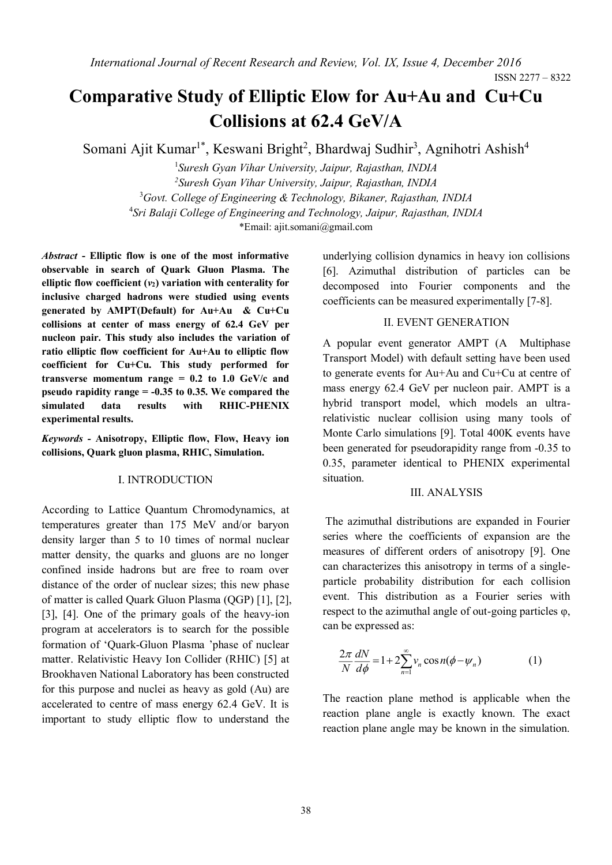ISSN 2277 – 8322

# **Comparative Study of Elliptic Elow for Au+Au and Cu+Cu Collisions at 62.4 GeV/A**

Somani Ajit Kumar<sup>1\*</sup>, Keswani Bright<sup>2</sup>, Bhardwaj Sudhir<sup>3</sup>, Agnihotri Ashish<sup>4</sup>

 *Suresh Gyan Vihar University, Jaipur, Rajasthan, INDIA Suresh Gyan Vihar University, Jaipur, Rajasthan, INDIA Govt. College of Engineering & Technology, Bikaner, Rajasthan, INDIA Sri Balaji College of Engineering and Technology, Jaipur, Rajasthan, INDIA* \*Email: ajit.somani@gmail.com

*Abstract* **- Elliptic flow is one of the most informative observable in search of Quark Gluon Plasma. The elliptic flow coefficient (***v***2) variation with centerality for inclusive charged hadrons were studied using events generated by AMPT(Default) for Au+Au & Cu+Cu collisions at center of mass energy of 62.4 GeV per nucleon pair. This study also includes the variation of ratio elliptic flow coefficient for Au+Au to elliptic flow coefficient for Cu+Cu. This study performed for transverse momentum range = 0.2 to 1.0 GeV/c and pseudo rapidity range = -0.35 to 0.35. We compared the simulated data results with RHIC-PHENIX experimental results.**

*Keywords -* **Anisotropy, Elliptic flow, Flow, Heavy ion collisions, Quark gluon plasma, RHIC, Simulation.**

## I. INTRODUCTION

According to Lattice Quantum Chromodynamics, at temperatures greater than 175 MeV and/or baryon density larger than 5 to 10 times of normal nuclear matter density, the quarks and gluons are no longer confined inside hadrons but are free to roam over distance of the order of nuclear sizes; this new phase of matter is called Quark Gluon Plasma (QGP) [1], [2], [3], [4]. One of the primary goals of the heavy-ion program at accelerators is to search for the possible formation of 'Quark-Gluon Plasma 'phase of nuclear matter. Relativistic Heavy Ion Collider (RHIC) [5] at Brookhaven National Laboratory has been constructed for this purpose and nuclei as heavy as gold (Au) are accelerated to centre of mass energy 62.4 GeV. It is important to study elliptic flow to understand the

underlying collision dynamics in heavy ion collisions [6]. Azimuthal distribution of particles can be decomposed into Fourier components and the coefficients can be measured experimentally [7-8].

## II. EVENT GENERATION

A popular event generator AMPT (A Multiphase Transport Model) with default setting have been used to generate events for Au+Au and Cu+Cu at centre of mass energy 62.4 GeV per nucleon pair. AMPT is a hybrid transport model, which models an ultrarelativistic nuclear collision using many tools of Monte Carlo simulations [9]. Total 400K events have been generated for pseudorapidity range from -0.35 to 0.35, parameter identical to PHENIX experimental situation.

#### III. ANALYSIS

The azimuthal distributions are expanded in Fourier series where the coefficients of expansion are the measures of different orders of anisotropy [9]. One can characterizes this anisotropy in terms of a singleparticle probability distribution for each collision event. This distribution as a Fourier series with respect to the azimuthal angle of out-going particles φ, can be expressed as:

$$
\frac{2\pi}{N}\frac{dN}{d\phi} = 1 + 2\sum_{n=1}^{\infty} v_n \cos n(\phi - \psi_n)
$$
 (1)

The reaction plane method is applicable when the reaction plane angle is exactly known. The exact reaction plane angle may be known in the simulation.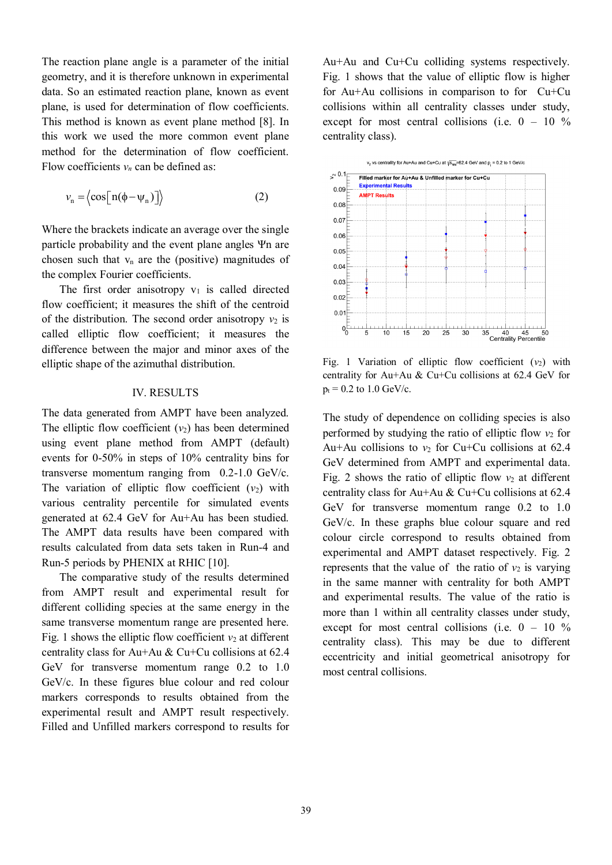The reaction plane angle is a parameter of the initial geometry, and it is therefore unknown in experimental data. So an estimated reaction plane, known as event plane, is used for determination of flow coefficients. This method is known as event plane method [8]. In this work we used the more common event plane method for the determination of flow coefficient. Flow coefficients  $v_n$  can be defined as:

$$
v_{n} = \langle \cos[n(\phi - \psi_{n})] \rangle \tag{2}
$$

Where the brackets indicate an average over the single particle probability and the event plane angles Ψn are chosen such that  $v_n$  are the (positive) magnitudes of the complex Fourier coefficients.

The first order anisotropy  $v_1$  is called directed flow coefficient; it measures the shift of the centroid of the distribution. The second order anisotropy  $v_2$  is called elliptic flow coefficient; it measures the difference between the major and minor axes of the elliptic shape of the azimuthal distribution.

## IV. RESULTS

The data generated from AMPT have been analyzed. The elliptic flow coefficient  $(v_2)$  has been determined using event plane method from AMPT (default) events for 0-50% in steps of 10% centrality bins for transverse momentum ranging from 0.2-1.0 GeV/c. The variation of elliptic flow coefficient  $(v_2)$  with various centrality percentile for simulated events generated at 62.4 GeV for Au+Au has been studied. The AMPT data results have been compared with results calculated from data sets taken in Run-4 and Run-5 periods by PHENIX at RHIC [10].

The comparative study of the results determined from AMPT result and experimental result for different colliding species at the same energy in the same transverse momentum range are presented here. Fig. 1 shows the elliptic flow coefficient  $v_2$  at different centrality class for Au+Au & Cu+Cu collisions at 62.4 GeV for transverse momentum range 0.2 to 1.0 GeV/c. In these figures blue colour and red colour markers corresponds to results obtained from the experimental result and AMPT result respectively. Filled and Unfilled markers correspond to results for

Au+Au and Cu+Cu colliding systems respectively. Fig. 1 shows that the value of elliptic flow is higher for Au+Au collisions in comparison to for Cu+Cu collisions within all centrality classes under study, except for most central collisions (i.e.  $0 - 10\%$ centrality class).



Fig. 1 Variation of elliptic flow coefficient  $(v_2)$  with centrality for Au+Au & Cu+Cu collisions at 62.4 GeV for  $p_t = 0.2$  to 1.0 GeV/c.

The study of dependence on colliding species is also performed by studying the ratio of elliptic flow  $v_2$  for Au+Au collisions to  $v_2$  for Cu+Cu collisions at 62.4 GeV determined from AMPT and experimental data. Fig. 2 shows the ratio of elliptic flow  $v_2$  at different centrality class for Au+Au & Cu+Cu collisions at 62.4 GeV for transverse momentum range 0.2 to 1.0 GeV/c. In these graphs blue colour square and red colour circle correspond to results obtained from experimental and AMPT dataset respectively. Fig. 2 represents that the value of the ratio of  $v_2$  is varying in the same manner with centrality for both AMPT and experimental results. The value of the ratio is more than 1 within all centrality classes under study, except for most central collisions (i.e.  $0 - 10\%$ centrality class). This may be due to different eccentricity and initial geometrical anisotropy for most central collisions.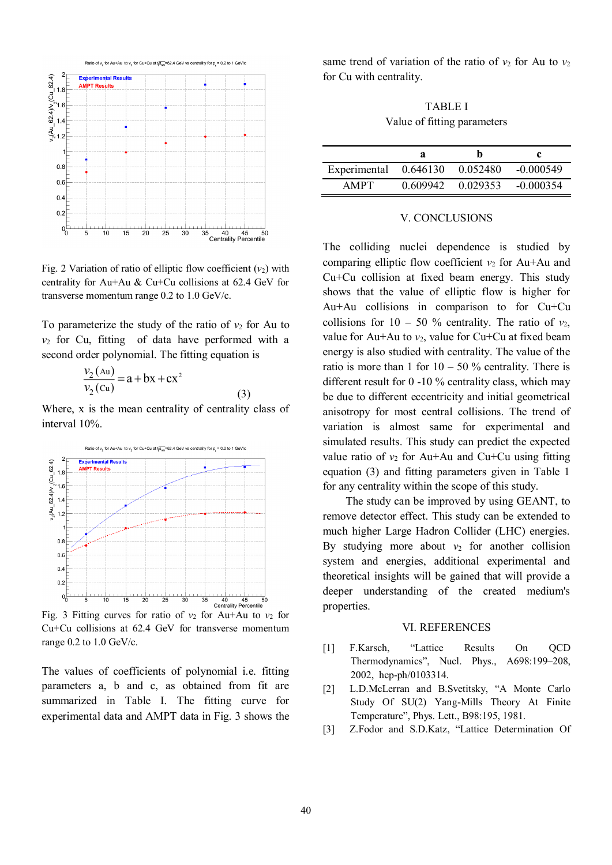

Fig. 2 Variation of ratio of elliptic flow coefficient  $(v_2)$  with centrality for Au+Au & Cu+Cu collisions at 62.4 GeV for transverse momentum range 0.2 to 1.0 GeV/c.

To parameterize the study of the ratio of  $v_2$  for Au to  $v_2$  for Cu, fitting of data have performed with a second order polynomial. The fitting equation is

$$
\frac{v_2(\text{Au})}{v_2(\text{Cu})} = a + bx + cx^2
$$

Where, x is the mean centrality of centrality class of interval 10%.

(3)



Fig. 3 Fitting curves for ratio of  $v_2$  for Au+Au to  $v_2$  for Cu+Cu collisions at 62.4 GeV for transverse momentum range 0.2 to 1.0 GeV/c.

The values of coefficients of polynomial i.e. fitting parameters a, b and c, as obtained from fit are summarized in Table I. The fitting curve for experimental data and AMPT data in Fig. 3 shows the

same trend of variation of the ratio of  $v_2$  for Au to  $v_2$ for Cu with centrality.

TABLE I Value of fitting parameters

|                       | а |                   |             |
|-----------------------|---|-------------------|-------------|
| Experimental 0.646130 |   | 0.052480          | $-0.000549$ |
| <b>AMPT</b>           |   | 0.609942 0.029353 | $-0.000354$ |

#### V. CONCLUSIONS

The colliding nuclei dependence is studied by comparing elliptic flow coefficient  $v_2$  for Au+Au and Cu+Cu collision at fixed beam energy. This study shows that the value of elliptic flow is higher for Au+Au collisions in comparison to for Cu+Cu collisions for  $10 - 50$  % centrality. The ratio of  $v_2$ , value for Au+Au to  $v_2$ , value for Cu+Cu at fixed beam energy is also studied with centrality. The value of the ratio is more than 1 for  $10 - 50$  % centrality. There is different result for 0 -10 % centrality class, which may be due to different eccentricity and initial geometrical anisotropy for most central collisions. The trend of variation is almost same for experimental and simulated results. This study can predict the expected value ratio of  $v_2$  for Au+Au and Cu+Cu using fitting equation (3) and fitting parameters given in Table 1 for any centrality within the scope of this study.

The study can be improved by using GEANT, to remove detector effect. This study can be extended to much higher Large Hadron Collider (LHC) energies. By studying more about  $v_2$  for another collision system and energies, additional experimental and theoretical insights will be gained that will provide a deeper understanding of the created medium's properties.

### VI. REFERENCES

- [1] F.Karsch. "Lattice Results On OCD Thermodynamics", Nucl. Phys., A698:199–208, 2002, hep-ph/0103314.
- [2] L.D.McLerran and B.Svetitsky, "A Monte Carlo Study Of SU(2) Yang-Mills Theory At Finite Temperature", Phys. Lett., B98:195, 1981.
- [3] Z.Fodor and S.D.Katz, "Lattice Determination Of